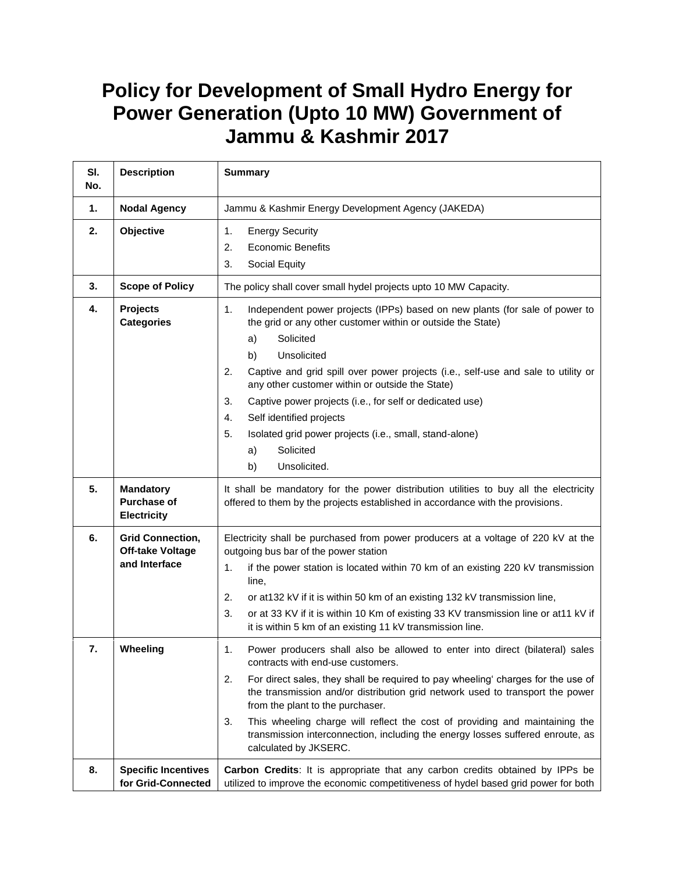## **Policy for Development of Small Hydro Energy for Power Generation (Upto 10 MW) Government of Jammu & Kashmir 2017**

| SI.<br>No. | <b>Description</b>                                                  | <b>Summary</b>                                                                                                                                                                                                                                                                                                                                                                                                                                                                                                                                       |
|------------|---------------------------------------------------------------------|------------------------------------------------------------------------------------------------------------------------------------------------------------------------------------------------------------------------------------------------------------------------------------------------------------------------------------------------------------------------------------------------------------------------------------------------------------------------------------------------------------------------------------------------------|
| 1.         | <b>Nodal Agency</b>                                                 | Jammu & Kashmir Energy Development Agency (JAKEDA)                                                                                                                                                                                                                                                                                                                                                                                                                                                                                                   |
| 2.         | Objective                                                           | 1.<br><b>Energy Security</b><br>2.<br><b>Economic Benefits</b><br>Social Equity<br>3.                                                                                                                                                                                                                                                                                                                                                                                                                                                                |
| 3.         | <b>Scope of Policy</b>                                              | The policy shall cover small hydel projects upto 10 MW Capacity.                                                                                                                                                                                                                                                                                                                                                                                                                                                                                     |
| 4.         | <b>Projects</b><br><b>Categories</b>                                | 1.<br>Independent power projects (IPPs) based on new plants (for sale of power to<br>the grid or any other customer within or outside the State)<br>Solicited<br>a)<br>Unsolicited<br>b)<br>2.<br>Captive and grid spill over power projects (i.e., self-use and sale to utility or<br>any other customer within or outside the State)<br>3.<br>Captive power projects (i.e., for self or dedicated use)<br>4.<br>Self identified projects<br>5.<br>Isolated grid power projects (i.e., small, stand-alone)<br>Solicited<br>a)<br>b)<br>Unsolicited. |
| 5.         | <b>Mandatory</b><br><b>Purchase of</b><br><b>Electricity</b>        | It shall be mandatory for the power distribution utilities to buy all the electricity<br>offered to them by the projects established in accordance with the provisions.                                                                                                                                                                                                                                                                                                                                                                              |
| 6.         | <b>Grid Connection,</b><br><b>Off-take Voltage</b><br>and Interface | Electricity shall be purchased from power producers at a voltage of 220 kV at the<br>outgoing bus bar of the power station<br>1.<br>if the power station is located within 70 km of an existing 220 kV transmission<br>line,<br>or at 132 kV if it is within 50 km of an existing 132 kV transmission line,<br>2.<br>or at 33 KV if it is within 10 Km of existing 33 KV transmission line or at11 kV if<br>3.<br>it is within 5 km of an existing 11 kV transmission line.                                                                          |
| 7.         | Wheeling                                                            | 1.<br>Power producers shall also be allowed to enter into direct (bilateral) sales<br>contracts with end-use customers.<br>2.<br>For direct sales, they shall be required to pay wheeling' charges for the use of<br>the transmission and/or distribution grid network used to transport the power<br>from the plant to the purchaser.<br>3.<br>This wheeling charge will reflect the cost of providing and maintaining the<br>transmission interconnection, including the energy losses suffered enroute, as<br>calculated by JKSERC.               |
| 8.         | <b>Specific Incentives</b><br>for Grid-Connected                    | Carbon Credits: It is appropriate that any carbon credits obtained by IPPs be<br>utilized to improve the economic competitiveness of hydel based grid power for both                                                                                                                                                                                                                                                                                                                                                                                 |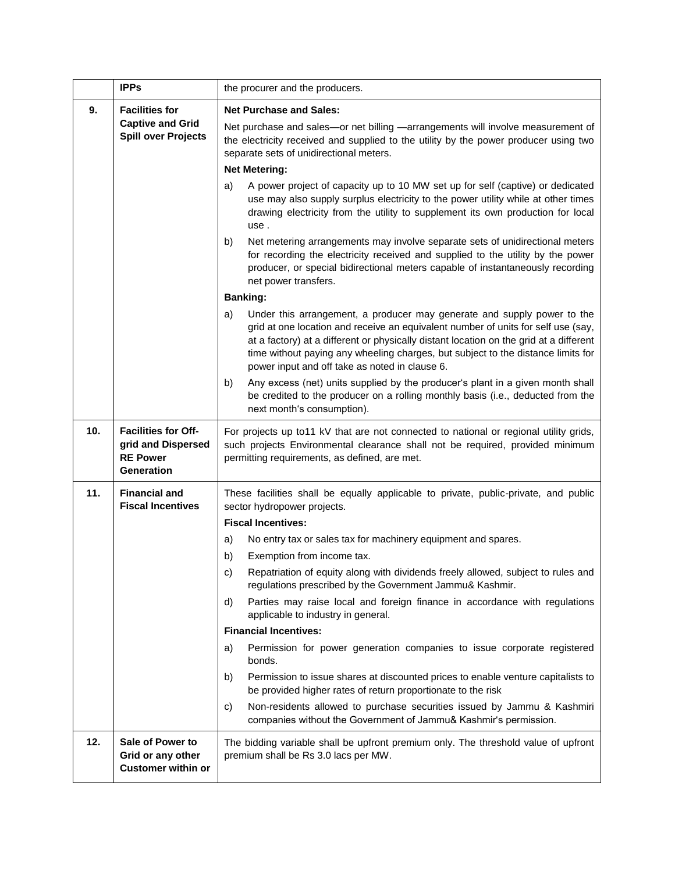|     | <b>IPPs</b>                                                                              | the procurer and the producers.                                                                                                                                                                                                                                                                                                                                                                    |
|-----|------------------------------------------------------------------------------------------|----------------------------------------------------------------------------------------------------------------------------------------------------------------------------------------------------------------------------------------------------------------------------------------------------------------------------------------------------------------------------------------------------|
| 9.  | <b>Facilities for</b><br><b>Captive and Grid</b>                                         | <b>Net Purchase and Sales:</b>                                                                                                                                                                                                                                                                                                                                                                     |
|     | <b>Spill over Projects</b>                                                               | Net purchase and sales-or net billing -arrangements will involve measurement of<br>the electricity received and supplied to the utility by the power producer using two<br>separate sets of unidirectional meters.                                                                                                                                                                                 |
|     |                                                                                          | <b>Net Metering:</b>                                                                                                                                                                                                                                                                                                                                                                               |
|     |                                                                                          | A power project of capacity up to 10 MW set up for self (captive) or dedicated<br>a)<br>use may also supply surplus electricity to the power utility while at other times<br>drawing electricity from the utility to supplement its own production for local<br>use.                                                                                                                               |
|     |                                                                                          | Net metering arrangements may involve separate sets of unidirectional meters<br>b)<br>for recording the electricity received and supplied to the utility by the power<br>producer, or special bidirectional meters capable of instantaneously recording<br>net power transfers.                                                                                                                    |
|     |                                                                                          | <b>Banking:</b>                                                                                                                                                                                                                                                                                                                                                                                    |
|     |                                                                                          | Under this arrangement, a producer may generate and supply power to the<br>a)<br>grid at one location and receive an equivalent number of units for self use (say,<br>at a factory) at a different or physically distant location on the grid at a different<br>time without paying any wheeling charges, but subject to the distance limits for<br>power input and off take as noted in clause 6. |
|     |                                                                                          | Any excess (net) units supplied by the producer's plant in a given month shall<br>b)<br>be credited to the producer on a rolling monthly basis (i.e., deducted from the<br>next month's consumption).                                                                                                                                                                                              |
| 10. | <b>Facilities for Off-</b><br>grid and Dispersed<br><b>RE Power</b><br><b>Generation</b> | For projects up to 11 kV that are not connected to national or regional utility grids,<br>such projects Environmental clearance shall not be required, provided minimum<br>permitting requirements, as defined, are met.                                                                                                                                                                           |
| 11. | <b>Financial and</b><br><b>Fiscal Incentives</b>                                         | These facilities shall be equally applicable to private, public-private, and public<br>sector hydropower projects.                                                                                                                                                                                                                                                                                 |
|     |                                                                                          | <b>Fiscal Incentives:</b>                                                                                                                                                                                                                                                                                                                                                                          |
|     |                                                                                          | No entry tax or sales tax for machinery equipment and spares.<br>a)                                                                                                                                                                                                                                                                                                                                |
|     |                                                                                          | b)<br>Exemption from income tax.<br>Repatriation of equity along with dividends freely allowed, subject to rules and<br>C)                                                                                                                                                                                                                                                                         |
|     |                                                                                          | regulations prescribed by the Government Jammu& Kashmir.                                                                                                                                                                                                                                                                                                                                           |
|     |                                                                                          | Parties may raise local and foreign finance in accordance with regulations<br>d)<br>applicable to industry in general.                                                                                                                                                                                                                                                                             |
|     |                                                                                          | <b>Financial Incentives:</b>                                                                                                                                                                                                                                                                                                                                                                       |
|     |                                                                                          | Permission for power generation companies to issue corporate registered<br>a)<br>bonds.                                                                                                                                                                                                                                                                                                            |
|     |                                                                                          | Permission to issue shares at discounted prices to enable venture capitalists to<br>b)<br>be provided higher rates of return proportionate to the risk                                                                                                                                                                                                                                             |
|     |                                                                                          | Non-residents allowed to purchase securities issued by Jammu & Kashmiri<br>C)<br>companies without the Government of Jammu& Kashmir's permission.                                                                                                                                                                                                                                                  |
| 12. | Sale of Power to<br>Grid or any other<br><b>Customer within or</b>                       | The bidding variable shall be upfront premium only. The threshold value of upfront<br>premium shall be Rs 3.0 lacs per MW.                                                                                                                                                                                                                                                                         |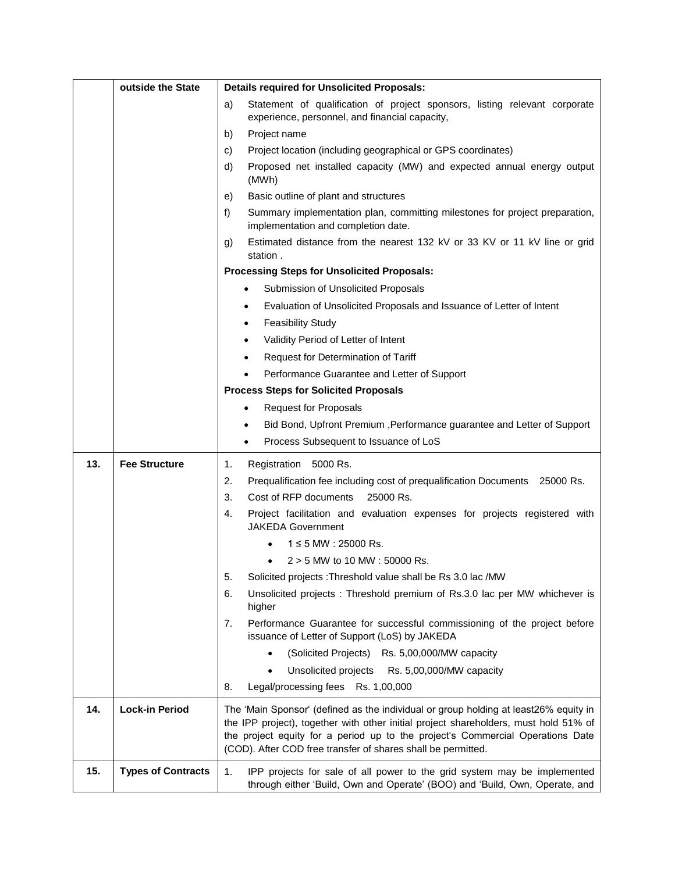|     | outside the State         | <b>Details required for Unsolicited Proposals:</b>                                                                                                                                                                                                                                                                             |
|-----|---------------------------|--------------------------------------------------------------------------------------------------------------------------------------------------------------------------------------------------------------------------------------------------------------------------------------------------------------------------------|
|     |                           | Statement of qualification of project sponsors, listing relevant corporate<br>a)<br>experience, personnel, and financial capacity,                                                                                                                                                                                             |
|     |                           | b)<br>Project name                                                                                                                                                                                                                                                                                                             |
|     |                           | c)<br>Project location (including geographical or GPS coordinates)                                                                                                                                                                                                                                                             |
|     |                           | d)<br>Proposed net installed capacity (MW) and expected annual energy output<br>(MWh)                                                                                                                                                                                                                                          |
|     |                           | Basic outline of plant and structures<br>e)                                                                                                                                                                                                                                                                                    |
|     |                           | f)<br>Summary implementation plan, committing milestones for project preparation,<br>implementation and completion date.                                                                                                                                                                                                       |
|     |                           | Estimated distance from the nearest 132 kV or 33 KV or 11 kV line or grid<br>g)<br>station.                                                                                                                                                                                                                                    |
|     |                           | <b>Processing Steps for Unsolicited Proposals:</b>                                                                                                                                                                                                                                                                             |
|     |                           | Submission of Unsolicited Proposals<br>$\bullet$                                                                                                                                                                                                                                                                               |
|     |                           | Evaluation of Unsolicited Proposals and Issuance of Letter of Intent<br>$\bullet$                                                                                                                                                                                                                                              |
|     |                           | <b>Feasibility Study</b><br>٠                                                                                                                                                                                                                                                                                                  |
|     |                           | Validity Period of Letter of Intent<br>$\bullet$                                                                                                                                                                                                                                                                               |
|     |                           | Request for Determination of Tariff<br>$\bullet$                                                                                                                                                                                                                                                                               |
|     |                           | Performance Guarantee and Letter of Support                                                                                                                                                                                                                                                                                    |
|     |                           | <b>Process Steps for Solicited Proposals</b>                                                                                                                                                                                                                                                                                   |
|     |                           | <b>Request for Proposals</b><br>$\bullet$                                                                                                                                                                                                                                                                                      |
|     |                           | Bid Bond, Upfront Premium , Performance guarantee and Letter of Support<br>$\bullet$                                                                                                                                                                                                                                           |
|     |                           | Process Subsequent to Issuance of LoS<br>$\bullet$                                                                                                                                                                                                                                                                             |
| 13. | <b>Fee Structure</b>      | Registration 5000 Rs.<br>1.                                                                                                                                                                                                                                                                                                    |
|     |                           | 2.<br>Prequalification fee including cost of prequalification Documents 25000 Rs.                                                                                                                                                                                                                                              |
|     |                           | 3.<br>Cost of RFP documents<br>25000 Rs.                                                                                                                                                                                                                                                                                       |
|     |                           | 4.<br>Project facilitation and evaluation expenses for projects registered with<br><b>JAKEDA Government</b>                                                                                                                                                                                                                    |
|     |                           | $1 \leq 5$ MW : 25000 Rs.                                                                                                                                                                                                                                                                                                      |
|     |                           | $2 > 5$ MW to 10 MW : 50000 Rs.                                                                                                                                                                                                                                                                                                |
|     |                           | Solicited projects : Threshold value shall be Rs 3.0 lac /MW<br>5.                                                                                                                                                                                                                                                             |
|     |                           | 6.<br>Unsolicited projects : Threshold premium of Rs.3.0 lac per MW whichever is<br>higher                                                                                                                                                                                                                                     |
|     |                           | Performance Guarantee for successful commissioning of the project before<br>7.<br>issuance of Letter of Support (LoS) by JAKEDA                                                                                                                                                                                                |
|     |                           | (Solicited Projects) Rs. 5,00,000/MW capacity                                                                                                                                                                                                                                                                                  |
|     |                           | Unsolicited projects<br>Rs. 5,00,000/MW capacity                                                                                                                                                                                                                                                                               |
|     |                           | Legal/processing fees Rs. 1,00,000<br>8.                                                                                                                                                                                                                                                                                       |
| 14. | Lock-in Period            | The 'Main Sponsor' (defined as the individual or group holding at least26% equity in<br>the IPP project), together with other initial project shareholders, must hold 51% of<br>the project equity for a period up to the project's Commercial Operations Date<br>(COD). After COD free transfer of shares shall be permitted. |
| 15. | <b>Types of Contracts</b> | 1.<br>IPP projects for sale of all power to the grid system may be implemented<br>through either 'Build, Own and Operate' (BOO) and 'Build, Own, Operate, and                                                                                                                                                                  |